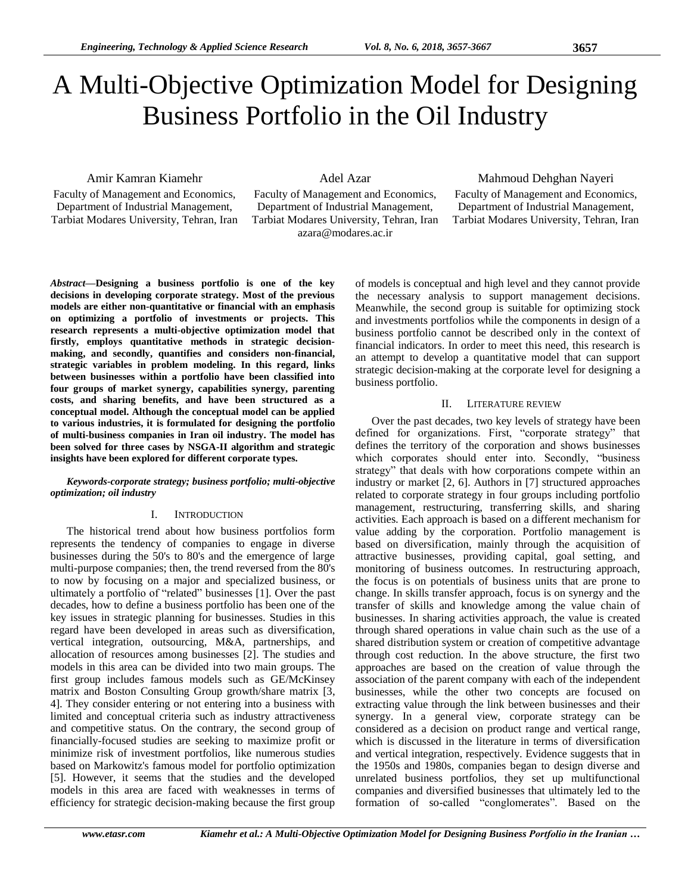# A Multi-Objective Optimization Model for Designing Business Portfolio in the Oil Industry

Amir Kamran Kiamehr

Faculty of Management and Economics, Department of Industrial Management, Tarbiat Modares University, Tehran, Iran Adel Azar

Faculty of Management and Economics, Department of Industrial Management, Tarbiat Modares University, Tehran, Iran azara@modares.ac.ir

# Mahmoud Dehghan Nayeri

Faculty of Management and Economics, Department of Industrial Management, Tarbiat Modares University, Tehran, Iran

*Abstract***—Designing a business portfolio is one of the key decisions in developing corporate strategy. Most of the previous models are either non-quantitative or financial with an emphasis on optimizing a portfolio of investments or projects. This research represents a multi-objective optimization model that firstly, employs quantitative methods in strategic decisionmaking, and secondly, quantifies and considers non-financial, strategic variables in problem modeling. In this regard, links between businesses within a portfolio have been classified into four groups of market synergy, capabilities synergy, parenting costs, and sharing benefits, and have been structured as a conceptual model. Although the conceptual model can be applied to various industries, it is formulated for designing the portfolio of multi-business companies in Iran oil industry. The model has been solved for three cases by NSGA-II algorithm and strategic insights have been explored for different corporate types.**

### *Keywords-corporate strategy; business portfolio; multi-objective optimization; oil industry*

## I. INTRODUCTION

The historical trend about how business portfolios form represents the tendency of companies to engage in diverse businesses during the 50's to 80's and the emergence of large multi-purpose companies; then, the trend reversed from the 80's to now by focusing on a major and specialized business, or ultimately a portfolio of "related" businesses [1]. Over the past decades, how to define a business portfolio has been one of the key issues in strategic planning for businesses. Studies in this regard have been developed in areas such as diversification, vertical integration, outsourcing, M&A, partnerships, and allocation of resources among businesses [2]. The studies and models in this area can be divided into two main groups. The first group includes famous models such as GE/McKinsey matrix and Boston Consulting Group growth/share matrix [3, 4]. They consider entering or not entering into a business with limited and conceptual criteria such as industry attractiveness and competitive status. On the contrary, the second group of financially-focused studies are seeking to maximize profit or minimize risk of investment portfolios, like numerous studies based on Markowitz's famous model for portfolio optimization [5]. However, it seems that the studies and the developed models in this area are faced with weaknesses in terms of efficiency for strategic decision-making because the first group

of models is conceptual and high level and they cannot provide the necessary analysis to support management decisions. Meanwhile, the second group is suitable for optimizing stock and investments portfolios while the components in design of a business portfolio cannot be described only in the context of financial indicators. In order to meet this need, this research is an attempt to develop a quantitative model that can support strategic decision-making at the corporate level for designing a business portfolio.

### II. LITERATURE REVIEW

Over the past decades, two key levels of strategy have been defined for organizations. First, "corporate strategy" that defines the territory of the corporation and shows businesses which corporates should enter into. Secondly, "business strategy" that deals with how corporations compete within an industry or market [2, 6]. Authors in [7] structured approaches related to corporate strategy in four groups including portfolio management, restructuring, transferring skills, and sharing activities. Each approach is based on a different mechanism for value adding by the corporation. Portfolio management is based on diversification, mainly through the acquisition of attractive businesses, providing capital, goal setting, and monitoring of business outcomes. In restructuring approach, the focus is on potentials of business units that are prone to change. In skills transfer approach, focus is on synergy and the transfer of skills and knowledge among the value chain of businesses. In sharing activities approach, the value is created through shared operations in value chain such as the use of a shared distribution system or creation of competitive advantage through cost reduction. In the above structure, the first two approaches are based on the creation of value through the association of the parent company with each of the independent businesses, while the other two concepts are focused on extracting value through the link between businesses and their synergy. In a general view, corporate strategy can be considered as a decision on product range and vertical range, which is discussed in the literature in terms of diversification and vertical integration, respectively. Evidence suggests that in the 1950s and 1980s, companies began to design diverse and unrelated business portfolios, they set up multifunctional companies and diversified businesses that ultimately led to the formation of so-called "conglomerates". Based on the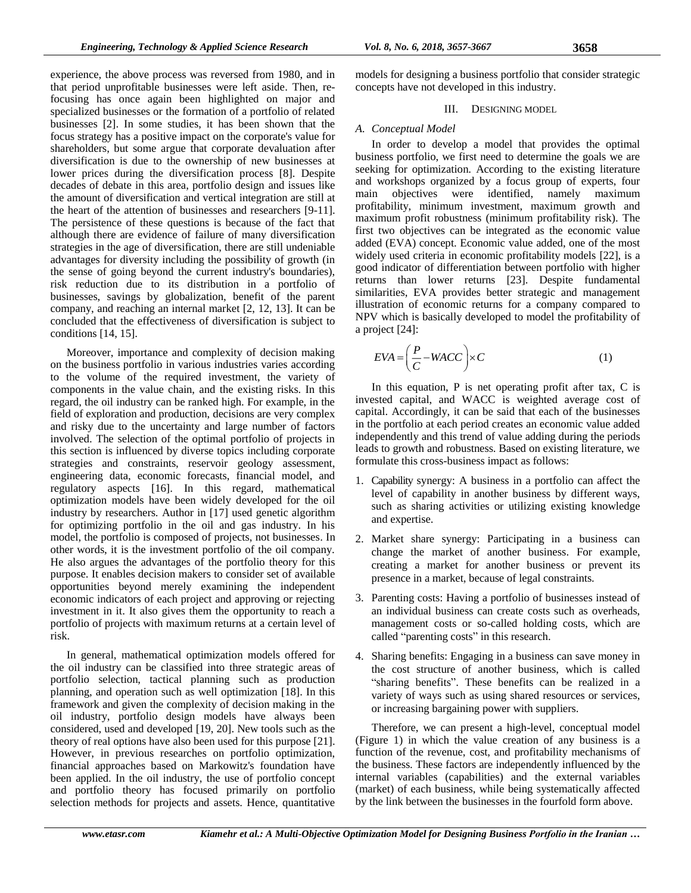experience, the above process was reversed from 1980, and in that period unprofitable businesses were left aside. Then, refocusing has once again been highlighted on major and specialized businesses or the formation of a portfolio of related businesses [2]. In some studies, it has been shown that the focus strategy has a positive impact on the corporate's value for shareholders, but some argue that corporate devaluation after diversification is due to the ownership of new businesses at lower prices during the diversification process [8]. Despite decades of debate in this area, portfolio design and issues like the amount of diversification and vertical integration are still at the heart of the attention of businesses and researchers [9-11]. The persistence of these questions is because of the fact that although there are evidence of failure of many diversification strategies in the age of diversification, there are still undeniable advantages for diversity including the possibility of growth (in the sense of going beyond the current industry's boundaries), risk reduction due to its distribution in a portfolio of businesses, savings by globalization, benefit of the parent company, and reaching an internal market [2, 12, 13]. It can be concluded that the effectiveness of diversification is subject to conditions [14, 15].

Moreover, importance and complexity of decision making on the business portfolio in various industries varies according to the volume of the required investment, the variety of components in the value chain, and the existing risks. In this regard, the oil industry can be ranked high. For example, in the field of exploration and production, decisions are very complex and risky due to the uncertainty and large number of factors involved. The selection of the optimal portfolio of projects in this section is influenced by diverse topics including corporate strategies and constraints, reservoir geology assessment, engineering data, economic forecasts, financial model, and regulatory aspects [16]. In this regard, mathematical optimization models have been widely developed for the oil industry by researchers. Author in [17] used genetic algorithm for optimizing portfolio in the oil and gas industry. In his model, the portfolio is composed of projects, not businesses. In other words, it is the investment portfolio of the oil company. He also argues the advantages of the portfolio theory for this purpose. It enables decision makers to consider set of available opportunities beyond merely examining the independent economic indicators of each project and approving or rejecting investment in it. It also gives them the opportunity to reach a portfolio of projects with maximum returns at a certain level of risk.

In general, mathematical optimization models offered for the oil industry can be classified into three strategic areas of portfolio selection, tactical planning such as production planning, and operation such as well optimization [18]. In this framework and given the complexity of decision making in the oil industry, portfolio design models have always been considered, used and developed [19, 20]. New tools such as the theory of real options have also been used for this purpose [21]. However, in previous researches on portfolio optimization, financial approaches based on Markowitz's foundation have been applied. In the oil industry, the use of portfolio concept and portfolio theory has focused primarily on portfolio selection methods for projects and assets. Hence, quantitative

models for designing a business portfolio that consider strategic concepts have not developed in this industry.

## III. DESIGNING MODEL

## *A. Conceptual Model*

In order to develop a model that provides the optimal business portfolio, we first need to determine the goals we are seeking for optimization. According to the existing literature and workshops organized by a focus group of experts, four main objectives were identified, namely maximum profitability, minimum investment, maximum growth and maximum profit robustness (minimum profitability risk). The first two objectives can be integrated as the economic value added (EVA) concept. Economic value added, one of the most widely used criteria in economic profitability models [22], is a good indicator of differentiation between portfolio with higher returns than lower returns [23]. Despite fundamental similarities, EVA provides better strategic and management illustration of economic returns for a company compared to NPV which is basically developed to model the profitability of a project [24]:

$$
EVA = \left(\frac{P}{C} - WACC\right) \times C\tag{1}
$$

In this equation, P is net operating profit after tax, C is invested capital, and WACC is weighted average cost of capital. Accordingly, it can be said that each of the businesses in the portfolio at each period creates an economic value added independently and this trend of value adding during the periods leads to growth and robustness. Based on existing literature, we formulate this cross-business impact as follows:

- 1. Capability synergy: A business in a portfolio can affect the level of capability in another business by different ways, such as sharing activities or utilizing existing knowledge and expertise.
- 2. Market share synergy: Participating in a business can change the market of another business. For example, creating a market for another business or prevent its presence in a market, because of legal constraints.
- 3. Parenting costs: Having a portfolio of businesses instead of an individual business can create costs such as overheads, management costs or so-called holding costs, which are called "parenting costs" in this research.
- 4. Sharing benefits: Engaging in a business can save money in the cost structure of another business, which is called "sharing benefits". These benefits can be realized in a variety of ways such as using shared resources or services, or increasing bargaining power with suppliers.

Therefore, we can present a high-level, conceptual model (Figure 1) in which the value creation of any business is a function of the revenue, cost, and profitability mechanisms of the business. These factors are independently influenced by the internal variables (capabilities) and the external variables (market) of each business, while being systematically affected by the link between the businesses in the fourfold form above.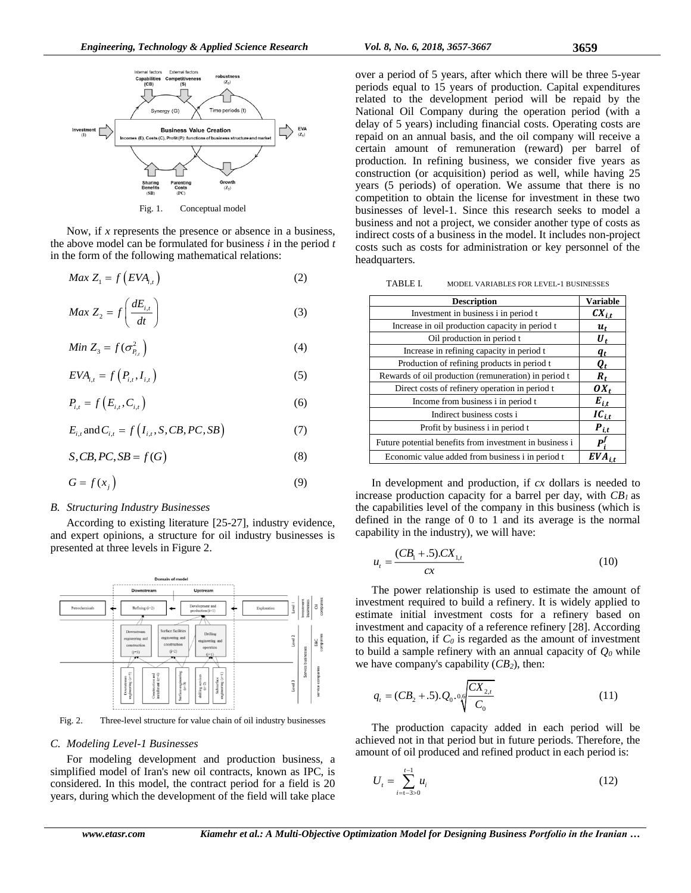

Now, if *x* represents the presence or absence in a business, the above model can be formulated for business *i* in the period *t*  in the form of the following mathematical relations:

$$
Max Z_1 = f(EVA_{i,t})
$$
 (2)

$$
Max Z_2 = f\left(\frac{dE_{i,t}}{dt}\right) \tag{3}
$$

$$
Min Z_3 = f(\sigma_{P_{i,j}}^2)
$$
\n(4)

$$
EVA_{i,t} = f(P_{i,t}, I_{i,t})
$$
\n(5)

$$
P_{i,t} = f\left(E_{i,t}, C_{i,t}\right) \tag{6}
$$

$$
E_{i,t} \text{ and } C_{i,t} = f\left(I_{i,t}, S, CB, PC, SB\right) \tag{7}
$$

$$
S, CB, PC, SB = f(G)
$$
\n<sup>(8)</sup>

$$
G = f(x_j) \tag{9}
$$

#### *B. Structuring Industry Businesses*

According to existing literature [25-27], industry evidence, and expert opinions, a structure for oil industry businesses is presented at three levels in Figure 2.



Fig. 2. Three-level structure for value chain of oil industry businesses

#### *C. Modeling Level-1 Businesses*

For modeling development and production business, a simplified model of Iran's new oil contracts, known as IPC, is considered. In this model, the contract period for a field is 20 years, during which the development of the field will take place over a period of 5 years, after which there will be three 5-year periods equal to 15 years of production. Capital expenditures related to the development period will be repaid by the National Oil Company during the operation period (with a delay of 5 years) including financial costs. Operating costs are repaid on an annual basis, and the oil company will receive a certain amount of remuneration (reward) per barrel of production. In refining business, we consider five years as construction (or acquisition) period as well, while having 25 years (5 periods) of operation. We assume that there is no competition to obtain the license for investment in these two businesses of level-1. Since this research seeks to model a business and not a project, we consider another type of costs as indirect costs of a business in the model. It includes non-project costs such as costs for administration or key personnel of the headquarters.

| TABLE I. |  |  |  |  | <b>MODEL VARIABLES FOR LEVEL-1 BUSINESSES</b> |
|----------|--|--|--|--|-----------------------------------------------|
|----------|--|--|--|--|-----------------------------------------------|

| <b>Description</b>                                      | <b>Variable</b>    |
|---------------------------------------------------------|--------------------|
| Investment in business i in period t                    | $CX_{i,t}$         |
| Increase in oil production capacity in period t         | $u_{t}$            |
| Oil production in period t                              | U,                 |
| Increase in refining capacity in period t               | $q_t$              |
| Production of refining products in period t             | $\boldsymbol{q}_t$ |
| Rewards of oil production (remuneration) in period t    | $\boldsymbol{R}_t$ |
| Direct costs of refinery operation in period t          | $OX_t$             |
| Income from business i in period t                      | $E_{i,t}$          |
| Indirect business costs i                               | $IC_{i,t}$         |
| Profit by business i in period t                        | $P_{i,t}$          |
| Future potential benefits from investment in business i | $P^I$              |
| Economic value added from business i in period t        |                    |

In development and production, if *cx* dollars is needed to increase production capacity for a barrel per day, with *CB1* as the capabilities level of the company in this business (which is defined in the range of 0 to 1 and its average is the normal capability in the industry), we will have:

$$
u_t = \frac{(CB_1 + .5).CX_{1,t}}{cx}
$$
 (10)

The power relationship is used to estimate the amount of investment required to build a refinery. It is widely applied to estimate initial investment costs for a refinery based on investment and capacity of a reference refinery [28]. According to this equation, if  $C_0$  is regarded as the amount of investment to build a sample refinery with an annual capacity of  $Q_0$  while we have company's capability (*CB2*), then:

$$
q_{t} = (CB_{2} + .5).Q_{0}.06 \sqrt{\frac{CX_{2,t}}{C_{0}}}
$$
 (11)

The production capacity added in each period will be achieved not in that period but in future periods. Therefore, the amount of oil produced and refined product in each period is:

$$
U_t = \sum_{i=t-3>0}^{t-1} u_i
$$
 (12)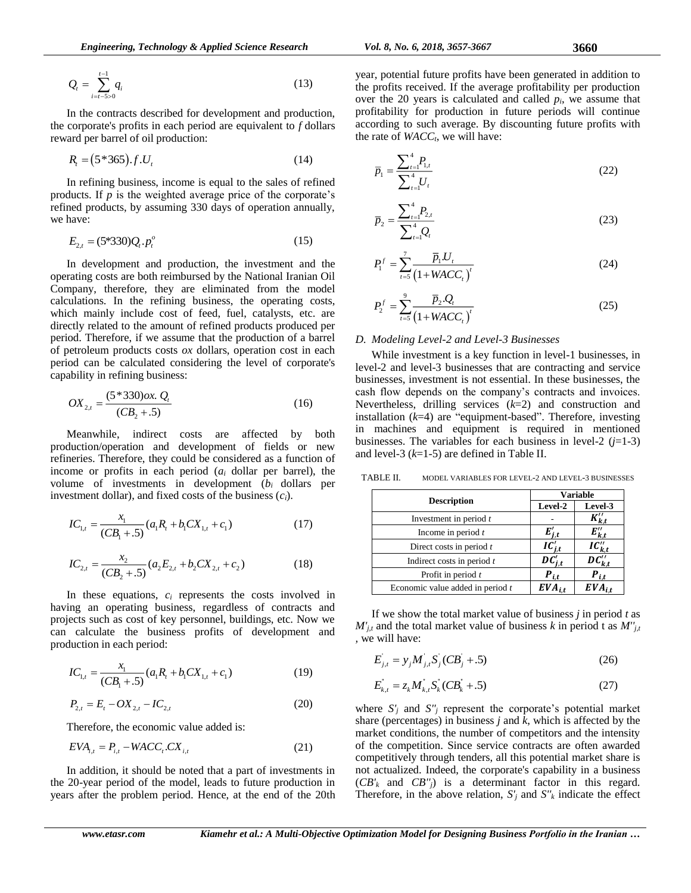$$
Q_i = \sum_{i=t-5>0}^{t-1} q_i
$$
 (13)

In the contracts described for development and production, the corporate's profits in each period are equivalent to *f* dollars reward per barrel of oil production:

$$
R_t = (5*365).f.U_t
$$
 (14)

In refining business, income is equal to the sales of refined products. If *p* is the weighted average price of the corporate's refined products, by assuming 330 days of operation annually, we have:

$$
E_{2,t} = (5*330)Q_t \cdot p_t^o \tag{15}
$$

In development and production, the investment and the operating costs are both reimbursed by the National Iranian Oil Company, therefore, they are eliminated from the model calculations. In the refining business, the operating costs, which mainly include cost of feed, fuel, catalysts, etc. are directly related to the amount of refined products produced per period. Therefore, if we assume that the production of a barrel of petroleum products costs *ox* dollars, operation cost in each period can be calculated considering the level of corporate's capability in refining business:

$$
OX_{2,t} = \frac{(5*330)\alpha x \cdot Q_t}{(CB_2 + .5)}
$$
 (16)

Meanwhile, indirect costs are affected by both production/operation and development of fields or new refineries. Therefore, they could be considered as a function of income or profits in each period (*a<sup>i</sup>* dollar per barrel), the volume of investments in development (*b<sup>i</sup>* dollars per investment dollar), and fixed costs of the business (*ci*).

$$
IC_{1,t} = \frac{x_1}{(CB_1 + .5)} (a_1R_t + b_1CX_{1,t} + c_1)
$$
 (17)

$$
IC_{2,t} = \frac{x_2}{(CB_2 + .5)} (a_2 E_{2,t} + b_2 CX_{2,t} + c_2)
$$
 (18)

In these equations, *c<sup>i</sup>* represents the costs involved in having an operating business, regardless of contracts and projects such as cost of key personnel, buildings, etc. Now we can calculate the business profits of development and production in each period:

$$
IC_{1,t} = \frac{x_1}{(CB_1 + .5)} (a_1R_t + b_1CX_{1,t} + c_1)
$$
 (19)

$$
P_{2,t} = E_t - OX_{2,t} - IC_{2,t}
$$
 (20)

Therefore, the economic value added is:

$$
EVA_{i,t} = P_{i,t} - WACC_t.CX_{i,t}
$$
 (21)

In addition, it should be noted that a part of investments in the 20-year period of the model, leads to future production in years after the problem period. Hence, at the end of the 20th year, potential future profits have been generated in addition to the profits received. If the average profitability per production over the 20 years is calculated and called *pi*, we assume that profitability for production in future periods will continue according to such average. By discounting future profits with the rate of *WACCt*, we will have:

$$
\overline{p}_1 = \frac{\sum_{t=1}^4 P_{1,t}}{\sum_{t=1}^4 U_t} \tag{22}
$$

$$
\overline{p}_2 = \frac{\sum_{t=1}^4 P_{2,t}}{\sum_{t=1}^4 Q_t}
$$
\n(23)

$$
P_1^f = \sum_{t=5}^7 \frac{\overline{p}_1 U_t}{(1 + WACC_t)^t}
$$
 (24)

$$
P_2^f = \sum_{t=5}^{9} \frac{\overline{p}_2 Q_t}{(1 + WACC_t)^t}
$$
 (25)

#### *D. Modeling Level-2 and Level-3 Businesses*

**www.etasr.com/silential/interferent states (13)** Now **King the Controlline interferences and products are the computered interferences and products are the computered interferences and products are the interferences poi** While investment is a key function in level-1 businesses, in level-2 and level-3 businesses that are contracting and service businesses, investment is not essential. In these businesses, the cash flow depends on the company's contracts and invoices. Nevertheless, drilling services (*k*=2) and construction and installation (*k*=4) are "equipment-based". Therefore, investing in machines and equipment is required in mentioned businesses. The variables for each business in level-2  $(j=1-3)$ and level-3 (*k*=1-5) are defined in Table II.

| <b>Description</b>               |             | <b>Variable</b>         |
|----------------------------------|-------------|-------------------------|
|                                  | Level-2     | Level-3                 |
| Investment in period $t$         |             | $K_{k,t}''$             |
| Income in period $t$             | $E'_{j,t}$  | $E_{k,t}''$             |
| Direct costs in period $t$       | $IC'_{j,t}$ | $IC''_{k,t}$            |
| Indirect costs in period $t$     | $DC'_{i,t}$ | $\overline{DC_{k,t}''}$ |
| Profit in period $t$             | $P_{i.t.}$  | $P_{i,t}$               |
| Economic value added in period t | $EVA_{it}$  | $EVA$ <sub>i.t</sub>    |

TABLE II. MODEL VARIABLES FOR LEVEL-2 AND LEVEL-3 BUSINESSES

If we show the total market value of business *j* in period *t* as  $M'_{j,t}$  and the total market value of business *k* in period t as  $M''_{j,t}$ *,* we will have:

$$
E_{j,t} = y_j M_{j,t} S_j (CB_j + .5)
$$
 (26)

$$
E_{k,t}^{'} = z_k M_{k,t}^{'} S_k^{'} (CB_k^{'} + .5)
$$
 (27)

where  $S'$ <sup>*j*</sup> and  $S''$ <sup>*j*</sup> represent the corporate's potential market share (percentages) in business *j* and *k*, which is affected by the market conditions, the number of competitors and the intensity of the competition. Since service contracts are often awarded competitively through tenders, all this potential market share is not actualized. Indeed, the corporate's capability in a business (*CB'<sup>k</sup>* and *CB''j*) is a determinant factor in this regard. Therefore, in the above relation,  $S_i$  and  $S_i$ <sup>'</sup> $k$  indicate the effect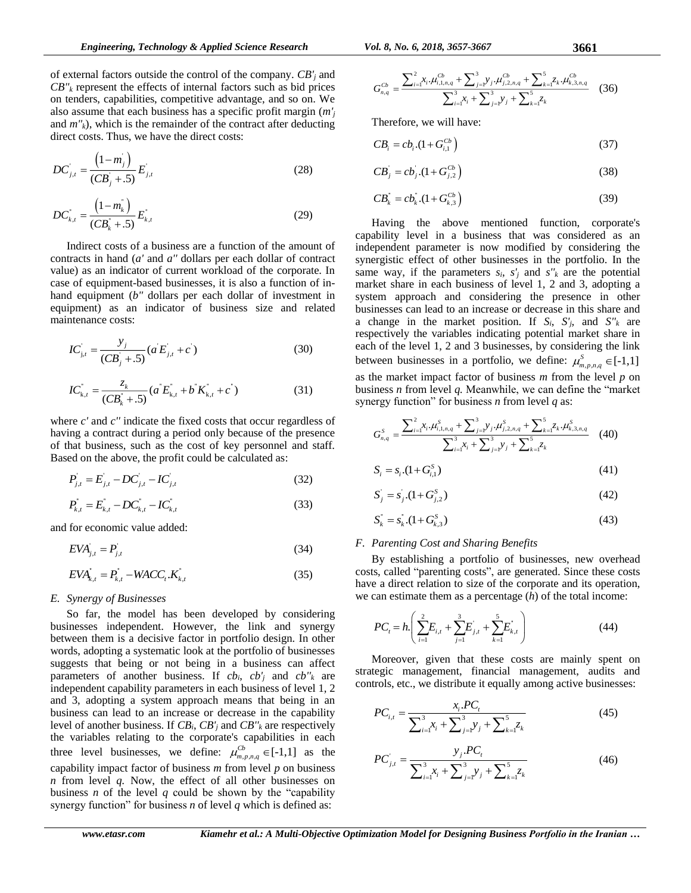of external factors outside the control of the company. *CB'<sup>j</sup>* and  $CB''$ <sub>*k*</sub> represent the effects of internal factors such as bid prices on tenders, capabilities, competitive advantage, and so on. We also assume that each business has a specific profit margin (*m'<sup>j</sup>* and  $m'_{k}$ ), which is the remainder of the contract after deducting direct costs. Thus, we have the direct costs:

$$
DC'_{j,t} = \frac{(1-m_j)}{(CB_j + .5)} E'_{j,t}
$$
 (28)

$$
DC_{k,t} = \frac{\left(1 - m_k^*\right)}{\left(CB_k^* + .5\right)} E_{k,t} \tag{29}
$$

Indirect costs of a business are a function of the amount of contracts in hand (*a'* and *a''* dollars per each dollar of contract value) as an indicator of current workload of the corporate. In case of equipment-based businesses, it is also a function of inhand equipment (*b''* dollars per each dollar of investment in equipment) as an indicator of business size and related maintenance costs:

$$
IC_{j,t} = \frac{y_j}{(CB_j + .5)} (a'E_{j,t} + c') \tag{30}
$$

$$
IC_{k,t}^{\dagger} = \frac{z_k}{(CB_k^* + .5)} (a^{\dagger} E_{k,t}^{\dagger} + b^{\dagger} K_{k,t}^{\dagger} + c^{\dagger})
$$
 (31)

where *c'* and *c''* indicate the fixed costs that occur regardless of having a contract during a period only because of the presence of that business, such as the cost of key personnel and staff. Based on the above, the profit could be calculated as:

$$
P_{j,t} = E_{j,t} - DC_{j,t} - IC_{j,t}
$$
 (32)

$$
P_{k,t}^{\dagger} = E_{k,t}^{\dagger} - DC_{k,t}^{\dagger} - IC_{k,t}^{\dagger}
$$
 (33)

and for economic value added:

$$
EVA_{j,t} = P_{j,t} \tag{34}
$$

$$
EVA_{k,t}^{\dagger} = P_{k,t}^{\dagger} - WACC_t.K_{k,t}^{\dagger}
$$
 (35)

## *E. Synergy of Businesses*

So far, the model has been developed by considering businesses independent. However, the link and synergy between them is a decisive factor in portfolio design. In other words, adopting a systematic look at the portfolio of businesses suggests that being or not being in a business can affect parameters of another business. If  $cb_i$ ,  $cb'_i$  and  $cb''_k$  are independent capability parameters in each business of level 1, 2 and 3, adopting a system approach means that being in an business can lead to an increase or decrease in the capability level of another business. If *CBi*, *CB'<sup>j</sup>* and *CB''<sup>k</sup>* are respectively the variables relating to the corporate's capabilities in each three level businesses, we define:  $\mu_{m,p,n,q}^{Cb} \in [-1,1]$  as the capability impact factor of business *m* from level *p* on business *n* from level *q.* Now, the effect of all other businesses on business *n* of the level  $q$  could be shown by the "capability" synergy function" for business *n* of level *q* which is defined as:

$$
G_{n,q}^{Cb} = \frac{\sum_{i=1}^{2} x_i \cdot \mu_{i,1,n,q}^{Cb} + \sum_{j=1}^{3} y_j \cdot \mu_{j,2,n,q}^{Cb} + \sum_{k=1}^{5} z_k \cdot \mu_{k,3,n,q}^{Cb}}{\sum_{i=1}^{3} x_i + \sum_{j=1}^{3} y_j + \sum_{k=1}^{5} z_k} \tag{36}
$$

Therefore, we will have:

$$
CB_i = cb_i.(1 + G_{i,1}^{Cb})
$$
\n(37)

$$
CB_j = cb_j.(1 + G_{j,2}^{Cb})
$$
\n(38)

$$
CB_{k}^{''}=cb_{k}^{''}.(1+G_{k,3}^{Cb})
$$
\n(39)

Having the above mentioned function, corporate's capability level in a business that was considered as an independent parameter is now modified by considering the synergistic effect of other businesses in the portfolio. In the same way, if the parameters  $s_i$ ,  $s'_j$  and  $s''_k$  are the potential market share in each business of level 1, 2 and 3, adopting a system approach and considering the presence in other businesses can lead to an increase or decrease in this share and a change in the market position. If  $S_i$ ,  $S'_i$ , and  $S''_k$  are respectively the variables indicating potential market share in each of the level 1, 2 and 3 businesses, by considering the link between businesses in a portfolio, we define:  $\mu_{m,p,n,q}^{S} \in [-1,1]$ as the market impact factor of business *m* from the level *p* on business *n* from level *q.* Meanwhile, we can define the "market

synergy function" for business *n* from level *q* as:  
\n
$$
G_{n,q}^{S} = \frac{\sum_{i=1}^{2} x_i \mu_{i,1,n,q}^{S} + \sum_{j=1}^{3} y_j \mu_{j,2,n,q}^{S} + \sum_{k=1}^{5} z_k \mu_{k,3,n,q}^{S}}{\sum_{i=1}^{3} x_i + \sum_{j=1}^{3} y_j + \sum_{k=1}^{5} z_k}
$$
\n(40)

$$
S_i = s_i (1 + G_{i,1}^S)
$$
\n(41)

$$
S_j = s_j (1 + G_{j,2}^s)
$$
\n(42)

$$
S_k^{\dagger} = s_k^{\dagger} (1 + G_{k,3}^S) \tag{43}
$$

#### *F. Parenting Cost and Sharing Benefits*

By establishing a portfolio of businesses, new overhead costs, called "parenting costs", are generated. Since these costs have a direct relation to size of the corporate and its operation, we can estimate them as a percentage (*h*) of the total income:

$$
PC_{t} = h \left( \sum_{i=1}^{2} E_{i,t} + \sum_{j=1}^{3} E'_{j,t} + \sum_{k=1}^{5} E^{\dagger}_{k,t} \right)
$$
(44)

Moreover, given that these costs are mainly spent on strategic management, financial management, audits and controls, etc., we distribute it equally among active businesses:

$$
PC_{i,t} = \frac{x_i.PC_t}{\sum_{i=1}^3 x_i + \sum_{j=1}^3 y_j + \sum_{k=1}^5 z_k}
$$
(45)

$$
PC'_{j,t} = \frac{y_j \cdot PC_t}{\sum_{i=1}^3 x_i + \sum_{j=1}^3 y_j + \sum_{k=1}^5 z_k}
$$
(46)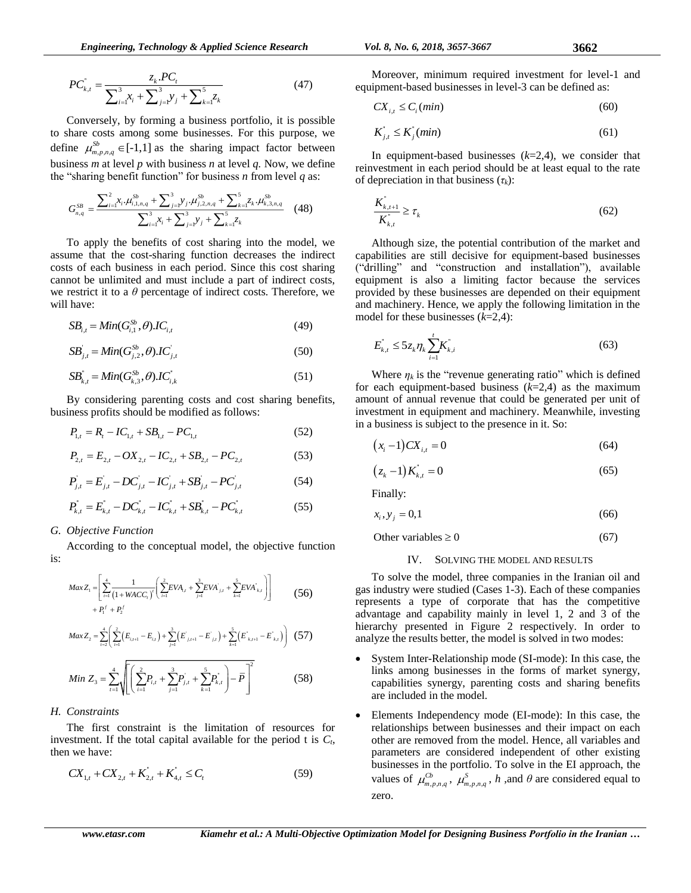$$
PC_{k,t}^{'} = \frac{z_k \cdot PC_t}{\sum_{i=1}^3 x_i + \sum_{j=1}^3 y_j + \sum_{k=1}^5 z_k}
$$
(47)

Conversely, by forming a business portfolio, it is possible to share costs among some businesses. For this purpose, we define  $\mu_{m,p,n,q}^{Sb} \in [-1,1]$  as the sharing impact factor between business *m* at level *p* with business *n* at level *q.* Now, we define the "sharing benefit function" for business *n* from level *q* as:

$$
G_{n,q}^{SB} = \frac{\sum_{i=1}^{2} x_i \cdot \mu_{i,1,n,q}^{SB} + \sum_{j=1}^{3} y_j \cdot \mu_{j,2,n,q}^{SB} + \sum_{k=1}^{5} z_k \cdot \mu_{k,3,n,q}^{SB}}{\sum_{i=1}^{3} x_i + \sum_{j=1}^{3} y_j + \sum_{k=1}^{5} z_k} (48)
$$

To apply the benefits of cost sharing into the model, we assume that the cost-sharing function decreases the indirect costs of each business in each period. Since this cost sharing cannot be unlimited and must include a part of indirect costs, we restrict it to a  $\theta$  percentage of indirect costs. Therefore, we will have:

$$
SB_{i,t} = Min(G_{i,1}^{Sb}, \theta) \cdot IC_{i,t}
$$
 (49)

$$
SB_{j,t} = Min(G_{j,2}^{Sb}, \theta) \cdot IC_{j,t} \tag{50}
$$

$$
SB_{k,t}^{\dagger} = Min(G_{k,3}^{Sb}, \theta) \cdot IC_{i,k}^{\dagger} \tag{51}
$$

By considering parenting costs and cost sharing benefits, business profits should be modified as follows:

$$
P_{1,t} = R_t - IC_{1,t} + SB_{1,t} - PC_{1,t} \tag{52}
$$

$$
P_{2,t} = E_{2,t} - OX_{2,t} - IC_{2,t} + SB_{2,t} - PC_{2,t}
$$
\n(53)

$$
P_{j,t} = E_{j,t} - DC_{j,t} - IC_{j,t} + SB_{j,t} - PC_{j,t}
$$
 (54)

$$
P_{k,t}^{\dagger} = E_{k,t}^{\dagger} - DC_{k,t}^{\dagger} - IC_{k,t}^{\dagger} + SB_{k,t}^{\dagger} - PC_{k,t}^{\dagger}
$$
 (55)

#### *G. Objective Function*

According to the conceptual model, the objective function is:

$$
Max Z_{1} = \left[ \sum_{r=1}^{4} \frac{1}{\left(1 + WACC_{r}\right)^{r}} \left( \sum_{i=1}^{2} EVA_{i,t} + \sum_{j=1}^{3} EVA_{j,t}^{r} + \sum_{k=1}^{5} EVA_{k,t}^{r} \right) \right]
$$
(56)

$$
Max Z_2 = \sum_{i=2}^{4} \left( \sum_{i=1}^{2} \left( E_{i,i+1} - E_{i,i} \right) + \sum_{j=1}^{3} \left( E^{'}_{j,i+1} - E^{'}_{j,i} \right) + \sum_{k=1}^{5} \left( E^{'}_{k,i+1} - E^{'}_{k,i} \right) \right)
$$
 (57)

Min 
$$
Z_3 = \sum_{t=1}^4 \sqrt{\left[ \left( \sum_{i=1}^2 P_{i,t} + \sum_{j=1}^3 P_{j,t} + \sum_{k=1}^5 P_{k,t} \right) - \overline{P} \right]^2}
$$
 (58)

#### *H. Constraints*

The first constraint is the limitation of resources for investment. If the total capital available for the period t is  $C_t$ , then we have:

$$
CX_{1,t} + CX_{2,t} + K_{2,t}^{*} + K_{4,t}^{*} \le C_{t}
$$
\n(59)

Moreover, minimum required investment for level-1 and equipment-based businesses in level-3 can be defined as:

$$
CX_{i,t} \le C_i(min) \tag{60}
$$

$$
K_{j,t}^* \le K_j^*(min) \tag{61}
$$

In equipment-based businesses  $(k=2,4)$ , we consider that reinvestment in each period should be at least equal to the rate of depreciation in that business (*τk*):

$$
\frac{K_{k,t+1}^*}{K_{k,t}^*} \ge \tau_k
$$
\n<sup>(62)</sup>

Although size, the potential contribution of the market and capabilities are still decisive for equipment-based businesses ("drilling" and "construction and installation"), available equipment is also a limiting factor because the services provided by these businesses are depended on their equipment and machinery. Hence, we apply the following limitation in the model for these businesses (*k*=2,4):

$$
E_{k,t}^{'} \le 5z_k \eta_k \sum_{i=1}^{t} K_{k,i}^{'} \tag{63}
$$

Where  $\eta_k$  is the "revenue generating ratio" which is defined for each equipment-based business (*k*=2,4) as the maximum amount of annual revenue that could be generated per unit of investment in equipment and machinery. Meanwhile, investing in a business is subject to the presence in it. So:

$$
(x_i - 1)CX_{i,t} = 0 \tag{64}
$$

$$
(z_k - 1)K_{k,t} = 0 \t\t(65)
$$

Finally:

$$
x_i, y_j = 0,1 \tag{66}
$$

Other variables  $\geq 0$ (67)

#### IV. SOLVING THE MODEL AND RESULTS

To solve the model, three companies in the Iranian oil and gas industry were studied (Cases 1-3). Each of these companies represents a type of corporate that has the competitive advantage and capability mainly in level 1, 2 and 3 of the hierarchy presented in Figure 2 respectively. In order to analyze the results better, the model is solved in two modes:

- System Inter-Relationship mode (SI-mode): In this case, the links among businesses in the forms of market synergy, capabilities synergy, parenting costs and sharing benefits are included in the model.
- Elements Independency mode (EI-mode): In this case, the relationships between businesses and their impact on each other are removed from the model. Hence, all variables and parameters are considered independent of other existing businesses in the portfolio. To solve in the EI approach, the values of  $\mu_{m,p,n,q}^{Cb}$ ,  $\mu_{m,p,n,q}^{S}$ , *h*, and *θ* are considered equal to zero.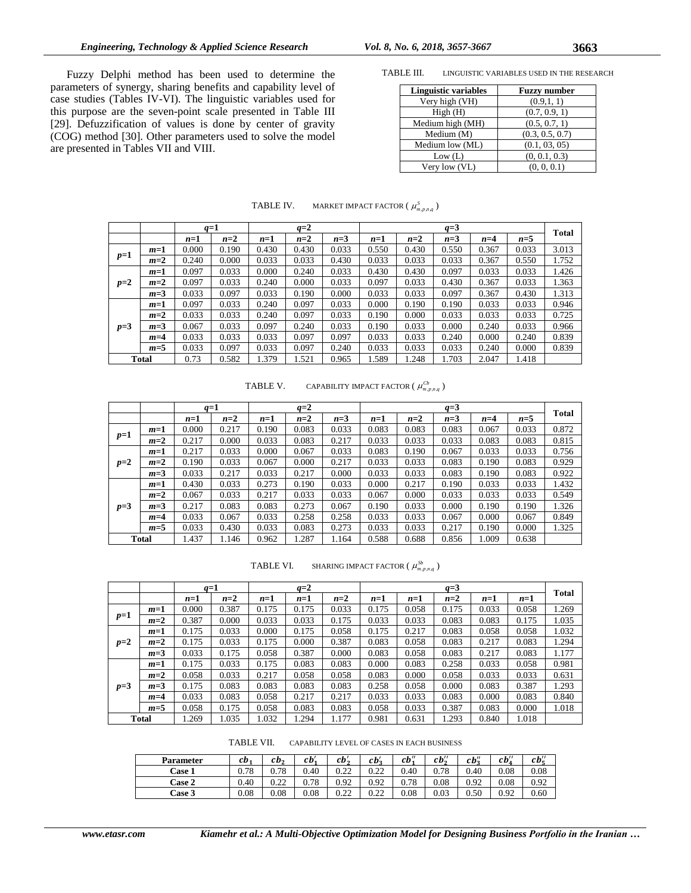TABLE III. LINGUISTIC VARIABLES USED IN THE RESEARCH

| <b>Linguistic variables</b> | <b>Fuzzy number</b> |
|-----------------------------|---------------------|
| Very high (VH)              | (0.9,1, 1)          |
| High(H)                     | (0.7, 0.9, 1)       |
| Medium high (MH)            | (0.5, 0.7, 1)       |
| Medium (M)                  | (0.3, 0.5, 0.7)     |
| Medium low (ML)             | (0.1, 03, 05)       |
| Low (L)                     | (0, 0.1, 0.3)       |
| Very low (VL)               | (0, 0, 0.1)         |

| TABLE IV. | MARKET IMPACT FACTOR $(\mu_{m,p,n,q}^S)$ |
|-----------|------------------------------------------|
|-----------|------------------------------------------|

|       |              |       | $q=1$ |       | $q=2$ |       |                                  | $q=3$ |       |       |       |       |
|-------|--------------|-------|-------|-------|-------|-------|----------------------------------|-------|-------|-------|-------|-------|
|       |              | $n=1$ | $n=2$ | $n=1$ | $n=2$ | $n=3$ | $n=1$                            | $n=2$ | $n=3$ | $n=4$ | $n=5$ | Total |
|       | $m=1$        | 0.000 | 0.190 | 0.430 | 0.430 | 0.033 | 0.550                            | 0.430 | 0.550 | 0.367 | 0.033 | 3.013 |
| $p=1$ | $m=2$        | 0.240 | 0.000 | 0.033 | 0.033 | 0.430 | 0.033                            | 0.033 | 0.033 | 0.367 | 0.550 | 1.752 |
|       | $m=1$        | 0.097 | 0.033 | 0.000 | 0.240 | 0.033 | 0.430                            | 0.430 | 0.097 | 0.033 | 0.033 | 1.426 |
| $p=2$ | $m=2$        | 0.097 | 0.033 | 0.240 | 0.000 | 0.033 | 0.097                            | 0.033 | 0.430 | 0.367 | 0.033 | 1.363 |
|       | $m=3$        | 0.033 | 0.097 | 0.033 | 0.190 | 0.000 | 0.033                            | 0.033 | 0.097 | 0.367 | 0.430 | 1.313 |
|       | $m=1$        | 0.097 | 0.033 | 0.240 | 0.097 | 0.033 | 0.000                            | 0.190 | 0.190 | 0.033 | 0.033 | 0.946 |
|       | $m=2$        | 0.033 | 0.033 | 0.240 | 0.097 | 0.033 | 0.190                            | 0.000 | 0.033 | 0.033 | 0.033 | 0.725 |
| $p=3$ | $m=3$        | 0.067 | 0.033 | 0.097 | 0.240 | 0.033 | 0.190                            | 0.033 | 0.000 | 0.240 | 0.033 | 0.966 |
|       | $m=4$        | 0.033 | 0.033 | 0.033 | 0.097 | 0.097 | 0.033                            | 0.033 | 0.240 | 0.000 | 0.240 | 0.839 |
|       | $m=5$        | 0.033 | 0.097 | 0.033 | 0.097 | 0.240 | 0.033                            | 0.033 | 0.033 | 0.240 | 0.000 | 0.839 |
|       | <b>Total</b> | 0.73  | 0.582 | 1.379 | 1.521 | 0.965 | 1.589<br>1.703<br>2.047<br>1.248 |       | 1.418 |       |       |       |

TABLE V. CAPABILITY IMPACT FACTOR  $(\mu_{m,p,n,q}^{Cb})$ 

|       |              | $q=1$ |       |       | $q=2$ |       | $q=3$ |       |       |       | Total |       |
|-------|--------------|-------|-------|-------|-------|-------|-------|-------|-------|-------|-------|-------|
|       |              | $n=1$ | $n=2$ | $n=1$ | $n=2$ | $n=3$ | $n=1$ | $n=2$ | $n=3$ | $n=4$ | $n=5$ |       |
|       | $m=1$        | 0.000 | 0.217 | 0.190 | 0.083 | 0.033 | 0.083 | 0.083 | 0.083 | 0.067 | 0.033 | 0.872 |
| $p=1$ | $m=2$        | 0.217 | 0.000 | 0.033 | 0.083 | 0.217 | 0.033 | 0.033 | 0.033 | 0.083 | 0.083 | 0.815 |
|       | $m=1$        | 0.217 | 0.033 | 0.000 | 0.067 | 0.033 | 0.083 | 0.190 | 0.067 | 0.033 | 0.033 | 0.756 |
| $p=2$ | $m=2$        | 0.190 | 0.033 | 0.067 | 0.000 | 0.217 | 0.033 | 0.033 | 0.083 | 0.190 | 0.083 | 0.929 |
|       | $m=3$        | 0.033 | 0.217 | 0.033 | 0.217 | 0.000 | 0.033 | 0.033 | 0.083 | 0.190 | 0.083 | 0.922 |
|       | $m=1$        | 0.430 | 0.033 | 0.273 | 0.190 | 0.033 | 0.000 | 0.217 | 0.190 | 0.033 | 0.033 | 1.432 |
|       | $m=2$        | 0.067 | 0.033 | 0.217 | 0.033 | 0.033 | 0.067 | 0.000 | 0.033 | 0.033 | 0.033 | 0.549 |
| $p=3$ | $m=3$        | 0.217 | 0.083 | 0.083 | 0.273 | 0.067 | 0.190 | 0.033 | 0.000 | 0.190 | 0.190 | 1.326 |
|       | $m=4$        | 0.033 | 0.067 | 0.033 | 0.258 | 0.258 | 0.033 | 0.033 | 0.067 | 0.000 | 0.067 | 0.849 |
|       | $m=5$        | 0.033 | 0.430 | 0.033 | 0.083 | 0.273 | 0.033 | 0.033 | 0.217 | 0.190 | 0.000 | 1.325 |
|       | <b>Total</b> | 1.437 | 1.146 | 0.962 | 1.287 | 1.164 | 0.588 | 0.688 | 0.856 | 1.009 | 0.638 |       |

TABLE VI. SHARING IMPACT FACTOR  $(\mu_{m,p,n,q}^{Sb})$ 

|       |              | $q=1$ |       |       | $q=2$ |       |       | $q=3$ |       |       | Total |       |
|-------|--------------|-------|-------|-------|-------|-------|-------|-------|-------|-------|-------|-------|
|       |              | $n=1$ | $n=2$ | $n=1$ | $n=1$ | $n=2$ | $n=1$ | $n=1$ | $n=2$ | $n=1$ | $n=1$ |       |
|       | $m=1$        | 0.000 | 0.387 | 0.175 | 0.175 | 0.033 | 0.175 | 0.058 | 0.175 | 0.033 | 0.058 | 1.269 |
| $p=1$ | $m=2$        | 0.387 | 0.000 | 0.033 | 0.033 | 0.175 | 0.033 | 0.033 | 0.083 | 0.083 | 0.175 | 1.035 |
|       | $m=1$        | 0.175 | 0.033 | 0.000 | 0.175 | 0.058 | 0.175 | 0.217 | 0.083 | 0.058 | 0.058 | 1.032 |
| $p=2$ | $m=2$        | 0.175 | 0.033 | 0.175 | 0.000 | 0.387 | 0.083 | 0.058 | 0.083 | 0.217 | 0.083 | 1.294 |
|       | $m=3$        | 0.033 | 0.175 | 0.058 | 0.387 | 0.000 | 0.083 | 0.058 | 0.083 | 0.217 | 0.083 | 1.177 |
|       | $m=1$        | 0.175 | 0.033 | 0.175 | 0.083 | 0.083 | 0.000 | 0.083 | 0.258 | 0.033 | 0.058 | 0.981 |
|       | $m=2$        | 0.058 | 0.033 | 0.217 | 0.058 | 0.058 | 0.083 | 0.000 | 0.058 | 0.033 | 0.033 | 0.631 |
| $p=3$ | $m=3$        | 0.175 | 0.083 | 0.083 | 0.083 | 0.083 | 0.258 | 0.058 | 0.000 | 0.083 | 0.387 | 1.293 |
|       | $m=4$        | 0.033 | 0.083 | 0.058 | 0.217 | 0.217 | 0.033 | 0.033 | 0.083 | 0.000 | 0.083 | 0.840 |
|       | $m=5$        | 0.058 | 0.175 | 0.058 | 0.083 | 0.083 | 0.058 | 0.033 | 0.387 | 0.083 | 0.000 | 1.018 |
|       | <b>Total</b> | 1.269 | 1.035 | 1.032 | 1.294 | 1.177 | 0.981 | 0.631 | 1.293 | 0.840 | 1.018 |       |

TABLE VII. CAPABILITY LEVEL OF CASES IN EACH BUSINESS

| <b>Parameter</b> | cb,  | $cb_2$       | cb'       | cb', | cb'2         | $cb''_1$ | $cb''_2$ | $cb''_2$ | $cb''_4$ | $cb''_5$ |
|------------------|------|--------------|-----------|------|--------------|----------|----------|----------|----------|----------|
| Case 1           | 0.78 | 0.78         | 0.40      | 0.22 | ሰ ኃኃ<br>∪.∠∠ | 0.40     | 0.78     | 0.40     | 0.08     | 0.08     |
| Case 2           | 0.40 | ሰ ንን<br>0.44 | 0.78      | 0.92 | 0.92         | 0.78     | 0.08     | 0.92     | 0.08     | 0.92     |
| <b>Case 3</b>    | 0.08 | 0.08         | $_{0.08}$ | 0.22 | ሰ ኃኃ<br>v.∠∠ | 0.08     | 0.03     | 0.50     | 0.92     | 0.60     |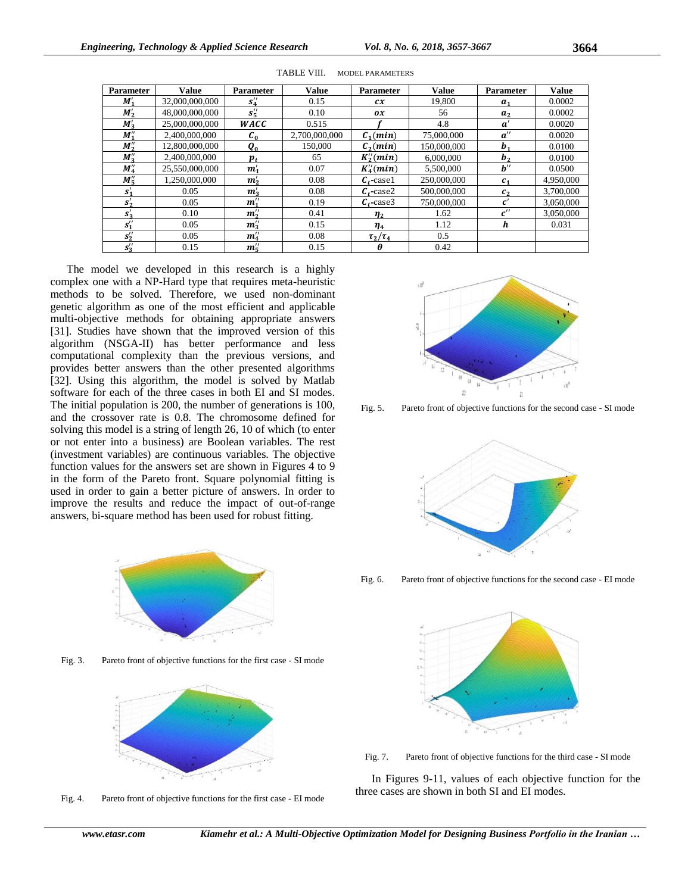| <b>Parameter</b> | <b>Value</b>   | Parameter      | <b>Value</b>  | Parameter                                        | <b>Value</b> | Parameter          | <b>Value</b> |
|------------------|----------------|----------------|---------------|--------------------------------------------------|--------------|--------------------|--------------|
| M'               | 32,000,000,000 | $s''_4$        | 0.15          | cx                                               | 19,800       | $a_{1}$            | 0.0002       |
| $M'_{2}$         | 48,000,000,000 | $s''_{5}$      | 0.10          | $\boldsymbol{\mathsf{O}}\boldsymbol{\mathsf{X}}$ | 56           | a <sub>2</sub>     | 0.0002       |
| $M'_{3}$         | 25,000,000,000 | WACC           | 0.515         |                                                  | 4.8          | $a^{\prime}$       | 0.0020       |
| $M''_1$          | 2,400,000,000  | $c_{0}$        | 2,700,000,000 | $C_1$ (min)                                      | 75,000,000   | $a^{\prime\prime}$ | 0.0020       |
| $M''_2$          | 12,800,000,000 | $Q_0$          | 150,000       | $\mathcal{C}_2$ (min)                            | 150,000,000  | $b_{1}$            | 0.0100       |
| $M''_3$          | 2.400.000.000  | $p_{t}$        | 65            | $K_2''(min)$                                     | 6,000,000    | b <sub>2</sub>     | 0.0100       |
| $M_4''$          | 25.550,000,000 | $m'_{1}$       | 0.07          | $K_4''(min)$                                     | 5.500,000    | $b^{\prime\prime}$ | 0.0500       |
| $M''_{5}$        | 1,250,000,000  | m <sub>2</sub> | 0.08          | $C_t$ -case1                                     | 250,000,000  | $c_{1}$            | 4,950,000    |
| $S'_{1}$         | 0.05           | $m'_{3}$       | 0.08          | $c_{\rm r}$ case2                                | 500,000,000  | c <sub>2</sub>     | 3,700,000    |
| $S_2'$           | 0.05           | $m''_1$        | 0.19          | $c$ . case3                                      | 750,000,000  | $\boldsymbol{c}'$  | 3,050,000    |
| $S'_{2}$         | 0.10           | $m''_2$        | 0.41          | $\eta_{2}$                                       | 1.62         | c''                | 3,050,000    |
| $s''_1$          | 0.05           | $m''_3$        | 0.15          | $\eta_4$                                         | 1.12         | h                  | 0.031        |
| $S_2''$          | 0.05           | $m_4''$        | 0.08          | $\tau_2/\tau_4$                                  | 0.5          |                    |              |
| $s_3''$          | 0.15           | $m''_{\kappa}$ | 0.15          | θ                                                | 0.42         |                    |              |

TABLE VIII. MODEL PARAMETERS

The model we developed in this research is a highly complex one with a NP-Hard type that requires meta-heuristic methods to be solved. Therefore, we used non-dominant genetic algorithm as one of the most efficient and applicable multi-objective methods for obtaining appropriate answers [31]. Studies have shown that the improved version of this algorithm (NSGA-II) has better performance and less computational complexity than the previous versions, and provides better answers than the other presented algorithms [32]. Using this algorithm, the model is solved by Matlab software for each of the three cases in both EI and SI modes. The initial population is 200, the number of generations is 100, and the crossover rate is 0.8. The chromosome defined for solving this model is a string of length 26, 10 of which (to enter or not enter into a business) are Boolean variables. The rest (investment variables) are continuous variables. The objective function values for the answers set are shown in Figures 4 to 9 in the form of the Pareto front. Square polynomial fitting is used in order to gain a better picture of answers. In order to improve the results and reduce the impact of out-of-range answers, bi-square method has been used for robust fitting.



Fig. 3. Pareto front of objective functions for the first case - SI mode



Fig. 4. Pareto front of objective functions for the first case - EI mode



Fig. 5. Pareto front of objective functions for the second case - SI mode



Fig. 6. Pareto front of objective functions for the second case - EI mode



Fig. 7. Pareto front of objective functions for the third case - SI mode

In Figures 9-11, values of each objective function for the three cases are shown in both SI and EI modes.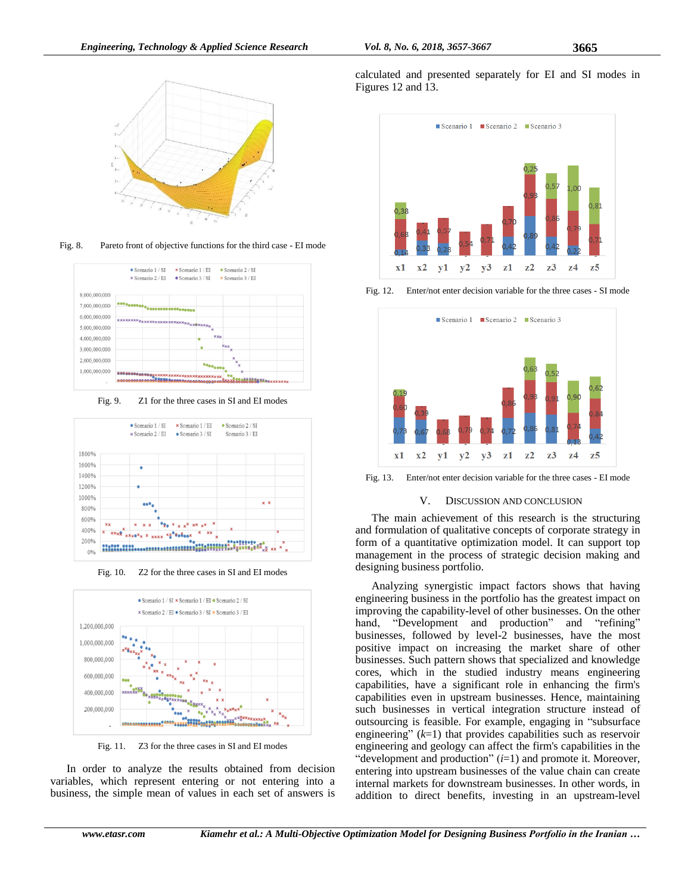

Fig. 8. Pareto front of objective functions for the third case - EI mode



Fig. 9. Z1 for the three cases in SI and EI modes



Fig. 10. Z2 for the three cases in SI and EI modes



Fig. 11. Z3 for the three cases in SI and EI modes

In order to analyze the results obtained from decision variables, which represent entering or not entering into a business, the simple mean of values in each set of answers is calculated and presented separately for EI and SI modes in Figures 12 and 13.



Fig. 12. Enter/not enter decision variable for the three cases - SI mode



Fig. 13. Enter/not enter decision variable for the three cases - EI mode

## V. DISCUSSION AND CONCLUSION

The main achievement of this research is the structuring and formulation of qualitative concepts of corporate strategy in form of a quantitative optimization model. It can support top management in the process of strategic decision making and designing business portfolio.

Analyzing synergistic impact factors shows that having engineering business in the portfolio has the greatest impact on improving the capability-level of other businesses. On the other hand, "Development and production" and "refining" businesses, followed by level-2 businesses, have the most positive impact on increasing the market share of other businesses. Such pattern shows that specialized and knowledge cores, which in the studied industry means engineering capabilities, have a significant role in enhancing the firm's capabilities even in upstream businesses. Hence, maintaining such businesses in vertical integration structure instead of outsourcing is feasible. For example, engaging in "subsurface engineering" (*k*=1) that provides capabilities such as reservoir engineering and geology can affect the firm's capabilities in the "development and production" (*i*=1) and promote it. Moreover, entering into upstream businesses of the value chain can create internal markets for downstream businesses. In other words, in addition to direct benefits, investing in an upstream-level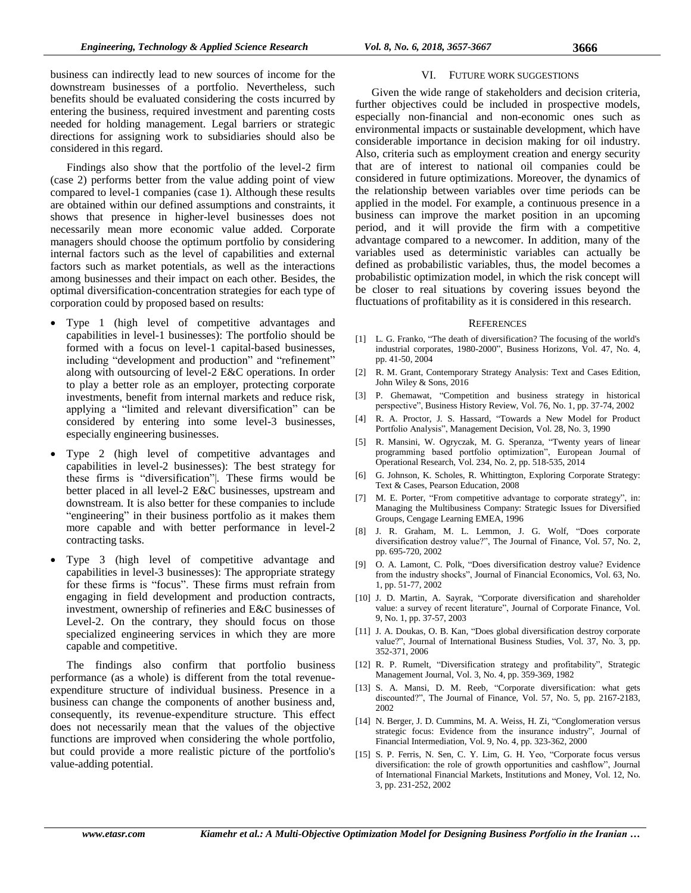business can indirectly lead to new sources of income for the downstream businesses of a portfolio. Nevertheless, such benefits should be evaluated considering the costs incurred by entering the business, required investment and parenting costs needed for holding management. Legal barriers or strategic directions for assigning work to subsidiaries should also be considered in this regard.

Findings also show that the portfolio of the level-2 firm (case 2) performs better from the value adding point of view compared to level-1 companies (case 1). Although these results are obtained within our defined assumptions and constraints, it shows that presence in higher-level businesses does not necessarily mean more economic value added. Corporate managers should choose the optimum portfolio by considering internal factors such as the level of capabilities and external factors such as market potentials, as well as the interactions among businesses and their impact on each other. Besides, the optimal diversification-concentration strategies for each type of corporation could by proposed based on results:

- Type 1 (high level of competitive advantages and capabilities in level-1 businesses): The portfolio should be formed with a focus on level-1 capital-based businesses, including "development and production" and "refinement" along with outsourcing of level-2 E&C operations. In order to play a better role as an employer, protecting corporate investments, benefit from internal markets and reduce risk, applying a "limited and relevant diversification" can be considered by entering into some level-3 businesses, especially engineering businesses.
- Type 2 (high level of competitive advantages and capabilities in level-2 businesses): The best strategy for these firms is "diversification"|. These firms would be better placed in all level-2 E&C businesses, upstream and downstream. It is also better for these companies to include "engineering" in their business portfolio as it makes them more capable and with better performance in level-2 contracting tasks.
- Type 3 (high level of competitive advantage and capabilities in level-3 businesses): The appropriate strategy for these firms is "focus". These firms must refrain from engaging in field development and production contracts, investment, ownership of refineries and E&C businesses of Level-2. On the contrary, they should focus on those specialized engineering services in which they are more capable and competitive.

The findings also confirm that portfolio business performance (as a whole) is different from the total revenueexpenditure structure of individual business. Presence in a business can change the components of another business and, consequently, its revenue-expenditure structure. This effect does not necessarily mean that the values of the objective functions are improved when considering the whole portfolio, but could provide a more realistic picture of the portfolio's value-adding potential.

## VI. FUTURE WORK SUGGESTIONS

Given the wide range of stakeholders and decision criteria, further objectives could be included in prospective models, especially non-financial and non-economic ones such as environmental impacts or sustainable development, which have considerable importance in decision making for oil industry. Also, criteria such as employment creation and energy security that are of interest to national oil companies could be considered in future optimizations. Moreover, the dynamics of the relationship between variables over time periods can be applied in the model. For example, a continuous presence in a business can improve the market position in an upcoming period, and it will provide the firm with a competitive advantage compared to a newcomer. In addition, many of the variables used as deterministic variables can actually be defined as probabilistic variables, thus, the model becomes a probabilistic optimization model, in which the risk concept will be closer to real situations by covering issues beyond the fluctuations of profitability as it is considered in this research.

#### **REFERENCES**

- [1] L. G. Franko, "The death of diversification? The focusing of the world's industrial corporates, 1980-2000", Business Horizons, Vol. 47, No. 4, pp. 41-50, 2004
- [2] R. M. Grant, Contemporary Strategy Analysis: Text and Cases Edition, John Wiley & Sons, 2016
- [3] P. Ghemawat, "Competition and business strategy in historical perspective", Business History Review, Vol. 76, No. 1, pp. 37-74, 2002
- [4] R. A. Proctor, J. S. Hassard, "Towards a New Model for Product Portfolio Analysis", Management Decision, Vol. 28, No. 3, 1990
- [5] R. Mansini, W. Ogryczak, M. G. Speranza, "Twenty years of linear programming based portfolio optimization", European Journal of Operational Research, Vol. 234, No. 2, pp. 518-535, 2014
- [6] G. Johnson, K. Scholes, R. Whittington, Exploring Corporate Strategy: Text & Cases, Pearson Education, 2008
- [7] M. E. Porter, "From competitive advantage to corporate strategy", in: Managing the Multibusiness Company: Strategic Issues for Diversified Groups, Cengage Learning EMEA, 1996
- [8] J. R. Graham, M. L. Lemmon, J. G. Wolf, "Does corporate diversification destroy value?", The Journal of Finance, Vol. 57, No. 2, pp. 695-720, 2002
- [9] O. A. Lamont, C. Polk, "Does diversification destroy value? Evidence from the industry shocks", Journal of Financial Economics, Vol. 63, No. 1, pp. 51-77, 2002
- [10] J. D. Martin, A. Sayrak, "Corporate diversification and shareholder value: a survey of recent literature", Journal of Corporate Finance, Vol. 9, No. 1, pp. 37-57, 2003
- [11] J. A. Doukas, O. B. Kan, "Does global diversification destroy corporate value?", Journal of International Business Studies, Vol. 37, No. 3, pp. 352-371, 2006
- [12] R. P. Rumelt, "Diversification strategy and profitability", Strategic Management Journal, Vol. 3, No. 4, pp. 359-369, 1982
- [13] S. A. Mansi, D. M. Reeb, "Corporate diversification: what gets discounted?", The Journal of Finance, Vol. 57, No. 5, pp. 2167-2183, 2002
- [14] N. Berger, J. D. Cummins, M. A. Weiss, H. Zi, "Conglomeration versus strategic focus: Evidence from the insurance industry", Journal of Financial Intermediation, Vol. 9, No. 4, pp. 323-362, 2000
- [15] S. P. Ferris, N. Sen, C. Y. Lim, G. H. Yeo, "Corporate focus versus diversification: the role of growth opportunities and cashflow", Journal of International Financial Markets, Institutions and Money, Vol. 12, No. 3, pp. 231-252, 2002